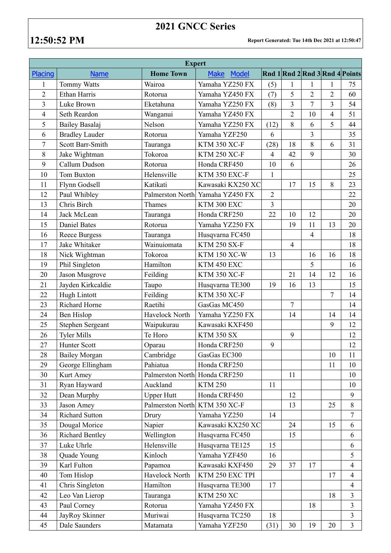## **2021 GNCC Series**

**12:50:52 PM Report Generated: Tue 14th Dec 2021 at 12:50:47**

| <b>Expert</b>  |                       |                               |                      |                |                |                |                |                                |  |  |  |
|----------------|-----------------------|-------------------------------|----------------------|----------------|----------------|----------------|----------------|--------------------------------|--|--|--|
| Placing        | <b>Name</b>           | <b>Home Town</b>              | <b>Make</b><br>Model |                |                |                |                | Rnd 1 Rnd 2 Rnd 3 Rnd 4 Points |  |  |  |
| $\mathbf{1}$   | Tommy Watts           | Wairoa                        | Yamaha YZ250 FX      | (5)            | $\mathbf{1}$   | $\mathbf{1}$   | $\mathbf{1}$   | 75                             |  |  |  |
| $\overline{2}$ | <b>Ethan Harris</b>   | Rotorua                       | Yamaha YZ450 FX      | (7)            | 5              | $\overline{2}$ | $\overline{2}$ | 60                             |  |  |  |
| $\overline{3}$ | Luke Brown            | Eketahuna                     | Yamaha YZ250 FX      | (8)            | 3              | $\overline{7}$ | $\overline{3}$ | 54                             |  |  |  |
| 4              | Seth Reardon          | Wanganui                      | Yamaha YZ450 FX      |                | $\overline{2}$ | 10             | $\overline{4}$ | 51                             |  |  |  |
| 5              | Bailey Basalaj        | Nelson                        | Yamaha YZ250 FX      | (12)           | 8              | 6              | 5              | 44                             |  |  |  |
| 6              | <b>Bradley Lauder</b> | Rotorua                       | Yamaha YZF250        | 6              |                | $\overline{3}$ |                | 35                             |  |  |  |
| $\overline{7}$ | Scott Barr-Smith      | Tauranga                      | <b>KTM 350 XC-F</b>  | (28)           | 18             | 8              | 6              | 31                             |  |  |  |
| 8              | Jake Wightman         | Tokoroa                       | <b>KTM 250 XC-F</b>  | $\overline{4}$ | 42             | 9              |                | 30                             |  |  |  |
| 9              | Callum Dudson         | Rotorua                       | Honda CRF450         | 10             | 6              |                |                | 26                             |  |  |  |
| 10             | <b>Tom Buxton</b>     | Helensville                   | KTM 350 EXC-F        | $\mathbf{1}$   |                |                |                | 25                             |  |  |  |
| 11             | Flynn Godsell         | Katikati                      | Kawasaki KX250 XC    |                | 17             | 15             | 8              | 23                             |  |  |  |
| 12             | Paul Whibley          | Palmerston North              | Yamaha YZ450 FX      | $\overline{2}$ |                |                |                | 22                             |  |  |  |
| 13             | Chris Birch           | Thames                        | KTM 300 EXC          | $\overline{3}$ |                |                |                | 20                             |  |  |  |
| 14             | Jack McLean           | Tauranga                      | Honda CRF250         | 22             | 10             | 12             |                | 20                             |  |  |  |
| 15             | <b>Daniel Bates</b>   | Rotorua                       | Yamaha YZ250 FX      |                | 19             | 11             | 13             | 20                             |  |  |  |
| 16             | <b>Reece Burgess</b>  | Tauranga                      | Husqvarna FC450      |                |                | $\overline{4}$ |                | 18                             |  |  |  |
| 17             | Jake Whitaker         | Wainuiomata                   | <b>KTM 250 SX-F</b>  |                | $\overline{4}$ |                |                | 18                             |  |  |  |
| 18             | Nick Wightman         | Tokoroa                       | <b>KTM 150 XC-W</b>  | 13             |                | 16             | 16             | 18                             |  |  |  |
| 19             | Phil Singleton        | Hamilton                      | KTM 450 EXC          |                |                | 5              |                | 16                             |  |  |  |
| 20             | Jason Musgrove        | Feilding                      | <b>KTM 350 XC-F</b>  |                | 21             | 14             | 12             | 16                             |  |  |  |
| 21             | Jayden Kirkcaldie     | Taupo                         | Husqvarna TE300      | 19             | 16             | 13             |                | 15                             |  |  |  |
| 22             | Hugh Lintott          | Feilding                      | <b>KTM 350 XC-F</b>  |                |                |                | $\overline{7}$ | 14                             |  |  |  |
| 23             | Richard Horne         | Raetihi                       | GasGas MC450         |                | 7              |                |                | 14                             |  |  |  |
| 24             | <b>Ben Hislop</b>     | Havelock North                | Yamaha YZ250 FX      |                | 14             |                | 14             | 14                             |  |  |  |
| 25             | Stephen Sergeant      | Waipukurau                    | Kawasaki KXF450      |                |                |                | 9              | 12                             |  |  |  |
| 26             | <b>Tyler Mills</b>    | Te Horo                       | <b>KTM 350 SX</b>    |                | 9              |                |                | 12                             |  |  |  |
| 27             | Hunter Scott          | Oparau                        | Honda CRF250         | 9              |                |                |                | 12                             |  |  |  |
| 28             | <b>Bailey Morgan</b>  | Cambridge                     | GasGas EC300         |                |                |                | $10\,$         | 11                             |  |  |  |
| 29             | George Ellingham      | Pahiatua                      | Honda CRF250         |                |                |                | 11             | 10                             |  |  |  |
| 30             | Kurt Amey             | Palmerston North Honda CRF250 |                      |                | 11             |                |                | 10                             |  |  |  |
| 31             | Ryan Hayward          | Auckland                      | <b>KTM 250</b>       | 11             |                |                |                | 10                             |  |  |  |
| 32             | Dean Murphy           | <b>Upper Hutt</b>             | Honda CRF450         |                | 12             |                |                | 9                              |  |  |  |
| 33             | Jason Amey            | Palmerston North KTM 350 XC-F |                      |                | 13             |                | 25             | 8                              |  |  |  |
| 34             | <b>Richard Sutton</b> | Drury                         | Yamaha YZ250         | 14             |                |                |                | $\boldsymbol{7}$               |  |  |  |
| 35             | Dougal Morice         | Napier                        | Kawasaki KX250 XC    |                | 24             |                | 15             | 6                              |  |  |  |
| 36             | Richard Bentley       | Wellington                    | Husqvarna FC450      |                | 15             |                |                | 6                              |  |  |  |
| 37             | Luke Uhrle            | Helensville                   | Husqvarna TE125      | 15             |                |                |                | 6                              |  |  |  |
| 38             | Quade Young           | Kinloch                       | Yamaha YZF450        | 16             |                |                |                | 5                              |  |  |  |
| 39             | Karl Fulton           | Papamoa                       | Kawasaki KXF450      | 29             | 37             | 17             |                | $\overline{4}$                 |  |  |  |
| 40             | Tom Hislop            | Havelock North                | KTM 250 EXC TPI      |                |                |                | 17             | $\overline{4}$                 |  |  |  |
| 41             | Chris Singleton       | Hamilton                      | Husqvarna TE300      | 17             |                |                |                | $\overline{4}$                 |  |  |  |
| 42             | Leo Van Lierop        | Tauranga                      | <b>KTM 250 XC</b>    |                |                |                | 18             | $\overline{3}$                 |  |  |  |
| 43             | Paul Corney           | Rotorua                       | Yamaha YZ450 FX      |                |                | 18             |                | $\overline{3}$                 |  |  |  |
| 44             | JayRoy Skinner        | Muriwai                       | Husqvarna TC250      | 18             |                |                |                | $\overline{3}$                 |  |  |  |
| 45             | Dale Saunders         | Matamata                      | Yamaha YZF250        | (31)           | 30             | 19             | 20             | $\mathfrak{Z}$                 |  |  |  |